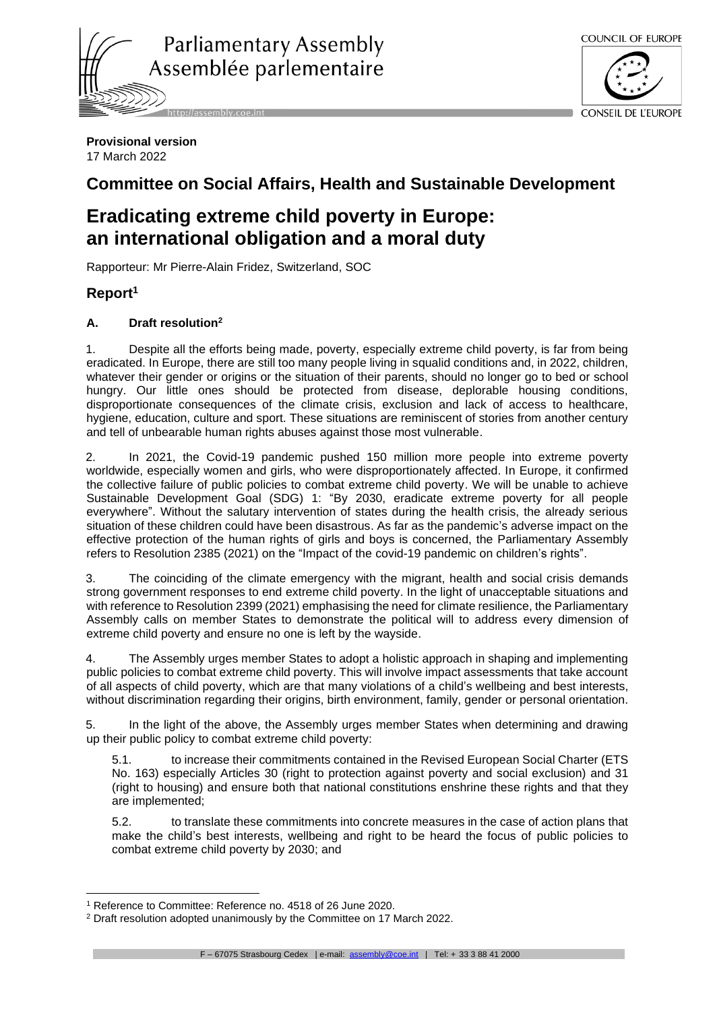

COUNCIL OF EUROPE



**Provisional version** 17 March 2022

## **Committee on Social Affairs, Health and Sustainable Development**

# **Eradicating extreme child poverty in Europe: an international obligation and a moral duty**

Rapporteur: Mr Pierre-Alain Fridez, Switzerland, SOC

### **Report<sup>1</sup>**

#### **A. Draft resolution<sup>2</sup>**

1. Despite all the efforts being made, poverty, especially extreme child poverty, is far from being eradicated. In Europe, there are still too many people living in squalid conditions and, in 2022, children, whatever their gender or origins or the situation of their parents, should no longer go to bed or school hungry. Our little ones should be protected from disease, deplorable housing conditions, disproportionate consequences of the climate crisis, exclusion and lack of access to healthcare, hygiene, education, culture and sport. These situations are reminiscent of stories from another century and tell of unbearable human rights abuses against those most vulnerable.

2. In 2021, the Covid-19 pandemic pushed 150 million more people into extreme poverty worldwide, especially women and girls, who were disproportionately affected. In Europe, it confirmed the collective failure of public policies to combat extreme child poverty. We will be unable to achieve Sustainable Development Goal (SDG) 1: "By 2030, eradicate extreme poverty for all people everywhere". Without the salutary intervention of states during the health crisis, the already serious situation of these children could have been disastrous. As far as the pandemic's adverse impact on the effective protection of the human rights of girls and boys is concerned, the Parliamentary Assembly refers to Resolution 2385 (2021) on the "Impact of the covid-19 pandemic on children's rights".

3. The coinciding of the climate emergency with the migrant, health and social crisis demands strong government responses to end extreme child poverty. In the light of unacceptable situations and with reference to Resolution 2399 (2021) emphasising the need for climate resilience, the Parliamentary Assembly calls on member States to demonstrate the political will to address every dimension of extreme child poverty and ensure no one is left by the wayside.

4. The Assembly urges member States to adopt a holistic approach in shaping and implementing public policies to combat extreme child poverty. This will involve impact assessments that take account of all aspects of child poverty, which are that many violations of a child's wellbeing and best interests, without discrimination regarding their origins, birth environment, family, gender or personal orientation.

5. In the light of the above, the Assembly urges member States when determining and drawing up their public policy to combat extreme child poverty:

5.1. to increase their commitments contained in the Revised European Social Charter (ETS No. 163) especially Articles 30 (right to protection against poverty and social exclusion) and 31 (right to housing) and ensure both that national constitutions enshrine these rights and that they are implemented;

5.2. to translate these commitments into concrete measures in the case of action plans that make the child's best interests, wellbeing and right to be heard the focus of public policies to combat extreme child poverty by 2030; and

F – 67075 Strasbourg Cedex | e-mail: [assembly@coe.int](mailto:assembly@coe.int) | Tel: + 33 3 88 41 2000

<sup>1</sup> Reference to Committee: Reference no. 4518 of 26 June 2020.

<sup>2</sup> Draft resolution adopted unanimously by the Committee on 17 March 2022.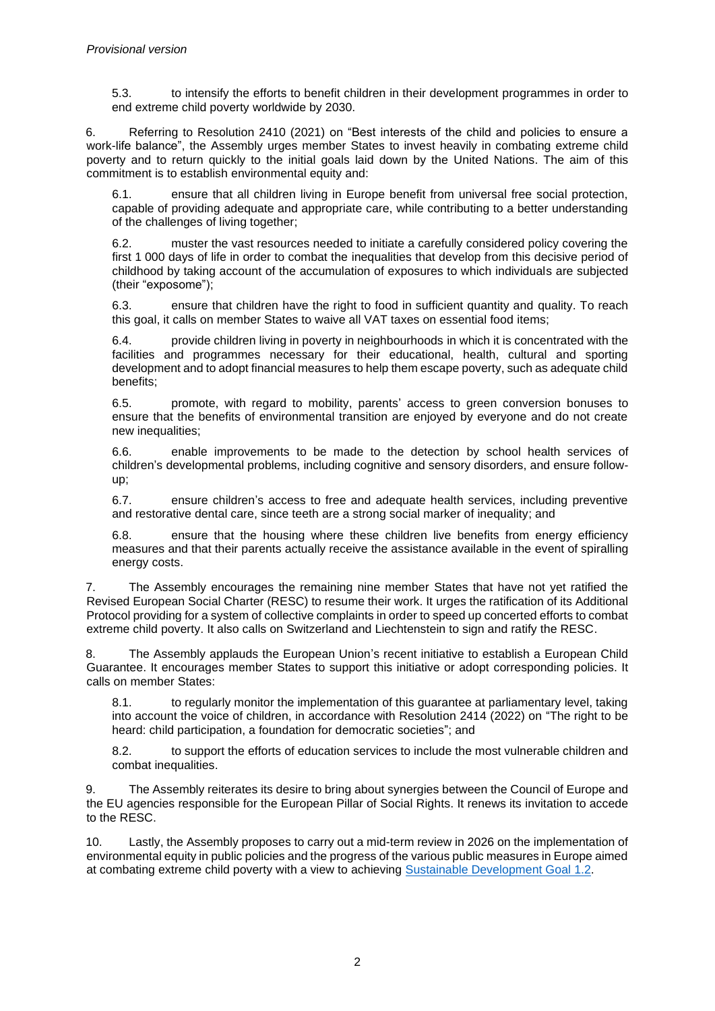5.3. to intensify the efforts to benefit children in their development programmes in order to end extreme child poverty worldwide by 2030.

6. Referring to Resolution 2410 (2021) on "Best interests of the child and policies to ensure a work-life balance", the Assembly urges member States to invest heavily in combating extreme child poverty and to return quickly to the initial goals laid down by the United Nations. The aim of this commitment is to establish environmental equity and:

6.1. ensure that all children living in Europe benefit from universal free social protection, capable of providing adequate and appropriate care, while contributing to a better understanding of the challenges of living together;

6.2. muster the vast resources needed to initiate a carefully considered policy covering the first 1 000 days of life in order to combat the inequalities that develop from this decisive period of childhood by taking account of the accumulation of exposures to which individuals are subjected (their "exposome");

6.3. ensure that children have the right to food in sufficient quantity and quality. To reach this goal, it calls on member States to waive all VAT taxes on essential food items;

6.4. provide children living in poverty in neighbourhoods in which it is concentrated with the facilities and programmes necessary for their educational, health, cultural and sporting development and to adopt financial measures to help them escape poverty, such as adequate child benefits;

6.5. promote, with regard to mobility, parents' access to green conversion bonuses to ensure that the benefits of environmental transition are enjoyed by everyone and do not create new inequalities;

6.6. enable improvements to be made to the detection by school health services of children's developmental problems, including cognitive and sensory disorders, and ensure followup;

6.7. ensure children's access to free and adequate health services, including preventive and restorative dental care, since teeth are a strong social marker of inequality; and

6.8. ensure that the housing where these children live benefits from energy efficiency measures and that their parents actually receive the assistance available in the event of spiralling energy costs.

7. The Assembly encourages the remaining nine member States that have not yet ratified the Revised European Social Charter (RESC) to resume their work. It urges the ratification of its Additional Protocol providing for a system of collective complaints in order to speed up concerted efforts to combat extreme child poverty. It also calls on Switzerland and Liechtenstein to sign and ratify the RESC.

8. The Assembly applauds the European Union's recent initiative to establish a European Child Guarantee. It encourages member States to support this initiative or adopt corresponding policies. It calls on member States:

8.1. to regularly monitor the implementation of this guarantee at parliamentary level, taking into account the voice of children, in accordance with Resolution 2414 (2022) on "The right to be heard: child participation, a foundation for democratic societies"; and

8.2. to support the efforts of education services to include the most vulnerable children and combat inequalities.

9. The Assembly reiterates its desire to bring about synergies between the Council of Europe and the EU agencies responsible for the European Pillar of Social Rights. It renews its invitation to accede to the RESC.

10. Lastly, the Assembly proposes to carry out a mid-term review in 2026 on the implementation of environmental equity in public policies and the progress of the various public measures in Europe aimed at combating extreme child poverty with a view to achieving [Sustainable Development Goal 1.2.](https://www.un.org/sustainabledevelopment/poverty/)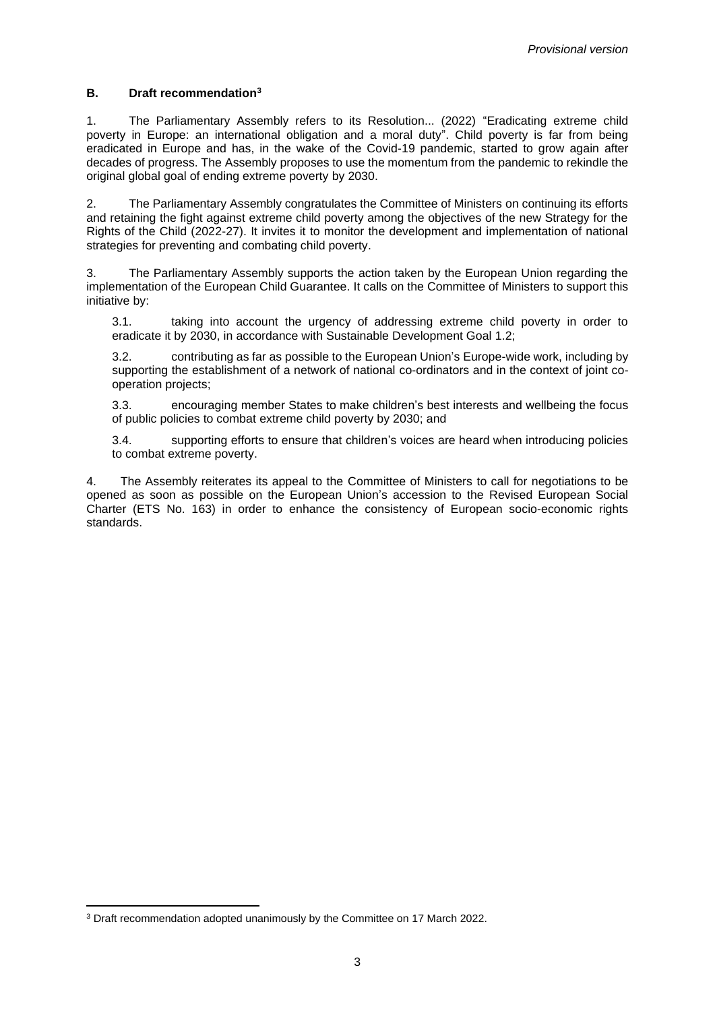#### **B. Draft recommendation<sup>3</sup>**

1. The Parliamentary Assembly refers to its Resolution... (2022) "Eradicating extreme child poverty in Europe: an international obligation and a moral duty". Child poverty is far from being eradicated in Europe and has, in the wake of the Covid-19 pandemic, started to grow again after decades of progress. The Assembly proposes to use the momentum from the pandemic to rekindle the original global goal of ending extreme poverty by 2030.

2. The Parliamentary Assembly congratulates the Committee of Ministers on continuing its efforts and retaining the fight against extreme child poverty among the objectives of the new Strategy for the Rights of the Child (2022-27). It invites it to monitor the development and implementation of national strategies for preventing and combating child poverty.

3. The Parliamentary Assembly supports the action taken by the European Union regarding the implementation of the European Child Guarantee. It calls on the Committee of Ministers to support this initiative by:

3.1. taking into account the urgency of addressing extreme child poverty in order to eradicate it by 2030, in accordance with Sustainable Development Goal 1.2;

3.2. contributing as far as possible to the European Union's Europe-wide work, including by supporting the establishment of a network of national co-ordinators and in the context of joint cooperation projects;

3.3. encouraging member States to make children's best interests and wellbeing the focus of public policies to combat extreme child poverty by 2030; and

3.4. supporting efforts to ensure that children's voices are heard when introducing policies to combat extreme poverty.

4. The Assembly reiterates its appeal to the Committee of Ministers to call for negotiations to be opened as soon as possible on the European Union's accession to the Revised European Social Charter (ETS No. 163) in order to enhance the consistency of European socio-economic rights standards.

<sup>3</sup> Draft recommendation adopted unanimously by the Committee on 17 March 2022.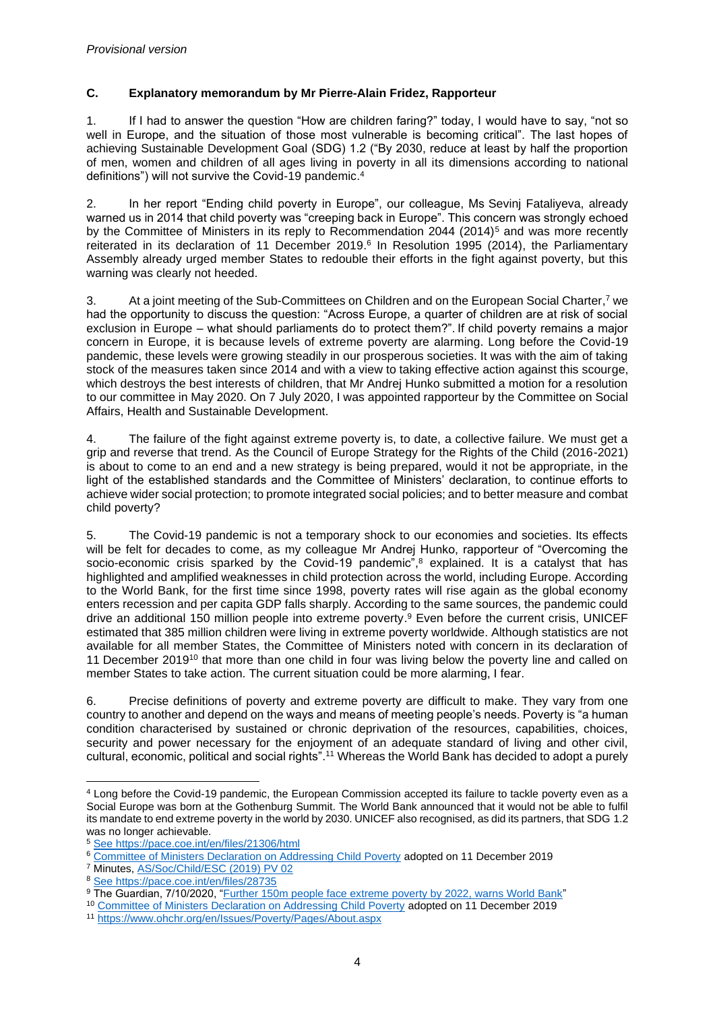#### **C. Explanatory memorandum by Mr Pierre-Alain Fridez, Rapporteur**

1. If I had to answer the question "How are children faring?" today, I would have to say, "not so well in Europe, and the situation of those most vulnerable is becoming critical". The last hopes of achieving Sustainable Development Goal (SDG) 1.2 ("By 2030, reduce at least by half the proportion of men, women and children of all ages living in poverty in all its dimensions according to national definitions") will not survive the Covid-19 pandemic. 4

2. In her report "Ending child poverty in Europe", our colleague, Ms Sevinj Fataliyeva, already warned us in 2014 that child poverty was "creeping back in Europe". This concern was strongly echoed by the Committee of Ministers in its reply to Recommendation 2044 (2014)<sup>5</sup> and was more recently reiterated in its declaration of 11 December 2019. 6 In Resolution 1995 (2014), the Parliamentary Assembly already urged member States to redouble their efforts in the fight against poverty, but this warning was clearly not heeded.

3. At a joint meeting of the Sub-Committees on Children and on the European Social Charter, <sup>7</sup> we had the opportunity to discuss the question: "Across Europe, a quarter of children are at risk of social exclusion in Europe – what should parliaments do to protect them?". If child poverty remains a major concern in Europe, it is because levels of extreme poverty are alarming. Long before the Covid-19 pandemic, these levels were growing steadily in our prosperous societies. It was with the aim of taking stock of the measures taken since 2014 and with a view to taking effective action against this scourge, which destroys the best interests of children, that Mr Andrej Hunko submitted a motion for a resolution to our committee in May 2020. On 7 July 2020, I was appointed rapporteur by the Committee on Social Affairs, Health and Sustainable Development.

4. The failure of the fight against extreme poverty is, to date, a collective failure. We must get a grip and reverse that trend. As the Council of Europe Strategy for the Rights of the Child (2016-2021) is about to come to an end and a new strategy is being prepared, would it not be appropriate, in the light of the established standards and the Committee of Ministers' declaration, to continue efforts to achieve wider social protection; to promote integrated social policies; and to better measure and combat child poverty?

5. The Covid-19 pandemic is not a temporary shock to our economies and societies. Its effects will be felt for decades to come, as my colleague Mr Andrej Hunko, rapporteur of "Overcoming the socio-economic crisis sparked by the Covid-19 pandemic",<sup>8</sup> explained. It is a catalyst that has highlighted and amplified weaknesses in child protection across the world, including Europe. According to the World Bank, for the first time since 1998, poverty rates will rise again as the global economy enters recession and per capita GDP falls sharply. According to the same sources, the pandemic could drive an additional 150 million people into extreme poverty.<sup>9</sup> Even before the current crisis, UNICEF estimated that 385 million children were living in extreme poverty worldwide. Although statistics are not available for all member States, the Committee of Ministers noted with concern in its declaration of 11 December 2019<sup>10</sup> that more than one child in four was living below the poverty line and called on member States to take action. The current situation could be more alarming, I fear.

6. Precise definitions of poverty and extreme poverty are difficult to make. They vary from one country to another and depend on the ways and means of meeting people's needs. Poverty is "a human condition characterised by sustained or chronic deprivation of the resources, capabilities, choices, security and power necessary for the enjoyment of an adequate standard of living and other civil, cultural, economic, political and social rights". <sup>11</sup> Whereas the World Bank has decided to adopt a purely

<sup>4</sup> Long before the Covid-19 pandemic, the European Commission accepted its failure to tackle poverty even as a Social Europe was born at the Gothenburg Summit. The World Bank announced that it would not be able to fulfil its mandate to end extreme poverty in the world by 2030. UNICEF also recognised, as did its partners, that SDG 1.2 was no longer achievable.

<sup>5</sup> See<https://pace.coe.int/en/files/21306/html>

<sup>6</sup> [Committee of Ministers Declaration on Addressing Child Poverty](https://search.coe.int/cm/Pages/result_details.aspx?Reference=Decl(11/12/2019)) adopted on 11 December 2019

<sup>7</sup> Minutes, [AS/Soc/Child/ESC \(2019\) PV 02](https://assembly.coe.int/LifeRay/SOC/Pdf/DocsAndDecs/2019/AS-SOC-ENF-ESC-2019-PV-02-EN.pdf)

<sup>8</sup> See<https://pace.coe.int/en/files/28735>

<sup>9</sup> The Guardian, 7/10/2020, ["Further 150m people face extreme poverty by 2022, warns World Bank"](https://www.theguardian.com/business/2020/oct/07/further-150m-people-face-extreme-poverty-by-2022-world-bank-covid-19-climate-coronavirus)

<sup>10</sup> [Committee of Ministers Declaration on Addressing Child Poverty](https://search.coe.int/cm/Pages/result_details.aspx?Reference=Decl(11/12/2019)) adopted on 11 December 2019

<sup>11</sup> <https://www.ohchr.org/en/Issues/Poverty/Pages/About.aspx>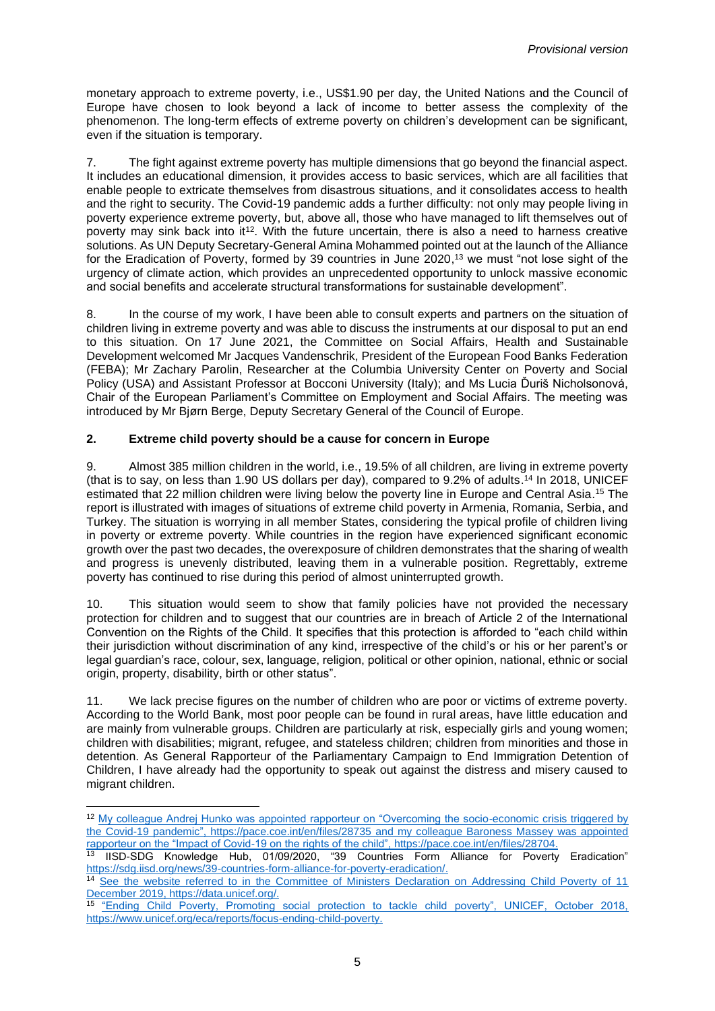monetary approach to extreme poverty, i.e., US\$1.90 per day, the United Nations and the Council of Europe have chosen to look beyond a lack of income to better assess the complexity of the phenomenon. The long-term effects of extreme poverty on children's development can be significant, even if the situation is temporary.

7. The fight against extreme poverty has multiple dimensions that go beyond the financial aspect. It includes an educational dimension, it provides access to basic services, which are all facilities that enable people to extricate themselves from disastrous situations, and it consolidates access to health and the right to security. The Covid-19 pandemic adds a further difficulty: not only may people living in poverty experience extreme poverty, but, above all, those who have managed to lift themselves out of poverty may sink back into it<sup>12</sup>. With the future uncertain, there is also a need to harness creative solutions. As UN Deputy Secretary-General Amina Mohammed pointed out at the launch of the Alliance for the Eradication of Poverty, formed by 39 countries in June 2020,<sup>13</sup> we must "not lose sight of the urgency of climate action, which provides an unprecedented opportunity to unlock massive economic and social benefits and accelerate structural transformations for sustainable development".

8. In the course of my work, I have been able to consult experts and partners on the situation of children living in extreme poverty and was able to discuss the instruments at our disposal to put an end to this situation. On 17 June 2021, the Committee on Social Affairs, Health and Sustainable Development welcomed Mr Jacques Vandenschrik, President of the European Food Banks Federation (FEBA); Mr Zachary Parolin, Researcher at the Columbia University Center on Poverty and Social Policy (USA) and Assistant Professor at Bocconi University (Italy); and Ms Lucia Ďuriš Nicholsonová, Chair of the European Parliament's Committee on Employment and Social Affairs. The meeting was introduced by Mr Bjørn Berge, Deputy Secretary General of the Council of Europe.

#### **2. Extreme child poverty should be a cause for concern in Europe**

9. Almost 385 million children in the world, i.e., 19.5% of all children, are living in extreme poverty (that is to say, on less than 1.90 US dollars per day), compared to 9.2% of adults. <sup>14</sup> In 2018, UNICEF estimated that 22 million children were living below the poverty line in Europe and Central Asia.<sup>15</sup> The report is illustrated with images of situations of extreme child poverty in Armenia, Romania, Serbia, and Turkey. The situation is worrying in all member States, considering the typical profile of children living in poverty or extreme poverty. While countries in the region have experienced significant economic growth over the past two decades, the overexposure of children demonstrates that the sharing of wealth and progress is unevenly distributed, leaving them in a vulnerable position. Regrettably, extreme poverty has continued to rise during this period of almost uninterrupted growth.

10. This situation would seem to show that family policies have not provided the necessary protection for children and to suggest that our countries are in breach of Article 2 of the International Convention on the Rights of the Child. It specifies that this protection is afforded to "each child within their jurisdiction without discrimination of any kind, irrespective of the child's or his or her parent's or legal guardian's race, colour, sex, language, religion, political or other opinion, national, ethnic or social origin, property, disability, birth or other status". 

11. We lack precise figures on the number of children who are poor or victims of extreme poverty. According to the World Bank, most poor people can be found in rural areas, have little education and are mainly from vulnerable groups. Children are particularly at risk, especially girls and young women; children with disabilities; migrant, refugee, and stateless children; children from minorities and those in detention. As General Rapporteur of the Parliamentary Campaign to End Immigration Detention of Children, I have already had the opportunity to speak out against the distress and misery caused to migrant children.

<sup>12</sup> My colleague Andrej Hunko was appointed rapporteur on "Overcoming the socio-economic crisis triggered by the Covid-19 pandemic",<https://pace.coe.int/en/files/28735> and my colleague Baroness Massey was appointed rapporteur on the "Impact of Covid-19 on the rights of the child", [https://pace.coe.int/en/files/28704.](https://pace.coe.int/en/files/28704)

<sup>13</sup> IISD-SDG Knowledge Hub, 01/09/2020, "39 Countries Form Alliance for Poverty Eradication" [https://sdg.iisd.org/news/39-countries-form-alliance-for-poverty-eradication/.](https://sdg.iisd.org/news/39-countries-form-alliance-for-poverty-eradication/)

<sup>&</sup>lt;sup>14</sup> See the website referred to in the Committee of Ministers Declaration on Addressing Child Poverty of 11 December 2019, [https://data.unicef.org/.](https://data.unicef.org/)

<sup>&</sup>lt;sup>15</sup> "Ending Child Poverty, Promoting social protection to tackle child poverty", UNICEF, October 2018, [https://www.unicef.org/eca/reports/focus-ending-child-poverty.](https://www.unicef.org/eca/reports/focus-ending-child-poverty)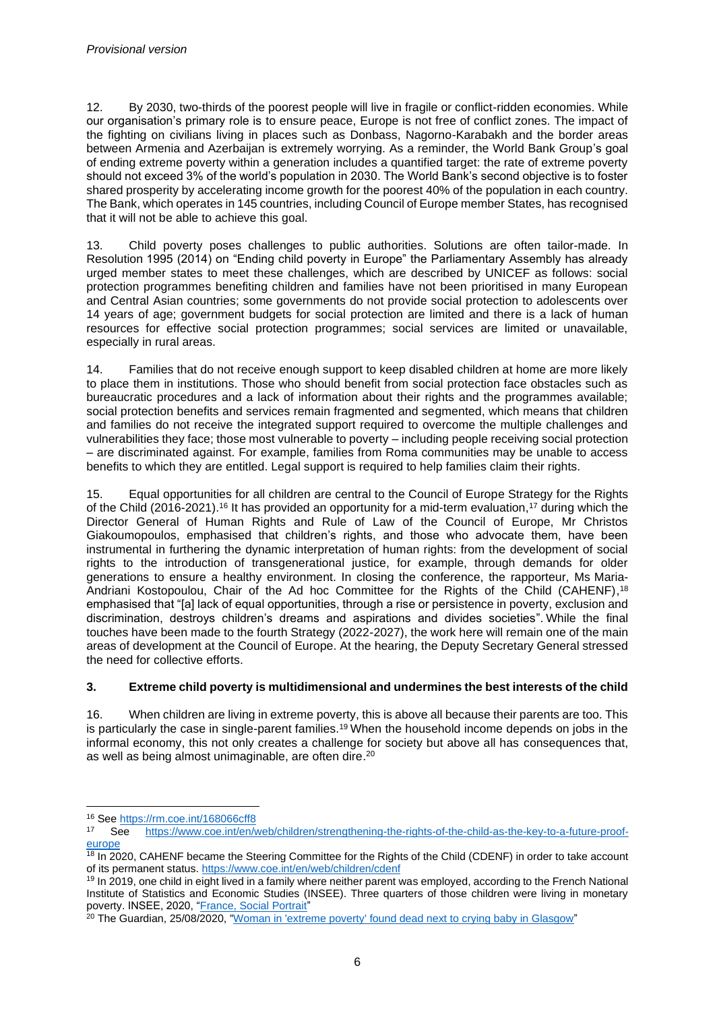12. By 2030, two-thirds of the poorest people will live in fragile or conflict-ridden economies. While our organisation's primary role is to ensure peace, Europe is not free of conflict zones. The impact of the fighting on civilians living in places such as Donbass, Nagorno-Karabakh and the border areas between Armenia and Azerbaijan is extremely worrying. As a reminder, the World Bank Group's goal of ending extreme poverty within a generation includes a quantified target: the rate of extreme poverty should not exceed 3% of the world's population in 2030. The World Bank's second objective is to foster shared prosperity by accelerating income growth for the poorest 40% of the population in each country. The Bank, which operates in 145 countries, including Council of Europe member States, has recognised that it will not be able to achieve this goal.

13. Child poverty poses challenges to public authorities. Solutions are often tailor-made. In Resolution 1995 (2014) on "Ending child poverty in Europe" the Parliamentary Assembly has already urged member states to meet these challenges, which are described by UNICEF as follows: social protection programmes benefiting children and families have not been prioritised in many European and Central Asian countries; some governments do not provide social protection to adolescents over 14 years of age; government budgets for social protection are limited and there is a lack of human resources for effective social protection programmes; social services are limited or unavailable, especially in rural areas.

14. Families that do not receive enough support to keep disabled children at home are more likely to place them in institutions. Those who should benefit from social protection face obstacles such as bureaucratic procedures and a lack of information about their rights and the programmes available; social protection benefits and services remain fragmented and segmented, which means that children and families do not receive the integrated support required to overcome the multiple challenges and vulnerabilities they face; those most vulnerable to poverty – including people receiving social protection – are discriminated against. For example, families from Roma communities may be unable to access benefits to which they are entitled. Legal support is required to help families claim their rights.

15. Equal opportunities for all children are central to the Council of Europe Strategy for the Rights of the Child (2016-2021).<sup>16</sup> It has provided an opportunity for a mid-term evaluation,<sup>17</sup> during which the Director General of Human Rights and Rule of Law of the Council of Europe, Mr Christos Giakoumopoulos, emphasised that children's rights, and those who advocate them, have been instrumental in furthering the dynamic interpretation of human rights: from the development of social rights to the introduction of transgenerational justice, for example, through demands for older generations to ensure a healthy environment. In closing the conference, the rapporteur, Ms Maria-Andriani Kostopoulou, Chair of the Ad hoc Committee for the Rights of the Child (CAHENF),<sup>18</sup> emphasised that "[a] lack of equal opportunities, through a rise or persistence in poverty, exclusion and discrimination, destroys children's dreams and aspirations and divides societies". While the final touches have been made to the fourth Strategy (2022-2027), the work here will remain one of the main areas of development at the Council of Europe. At the hearing, the Deputy Secretary General stressed the need for collective efforts.

#### **3. Extreme child poverty is multidimensional and undermines the best interests of the child**

16. When children are living in extreme poverty, this is above all because their parents are too. This is particularly the case in single-parent families. <sup>19</sup> When the household income depends on jobs in the informal economy, this not only creates a challenge for society but above all has consequences that, as well as being almost unimaginable, are often dire. 20

<sup>&</sup>lt;sup>16</sup> Se[e https://rm.coe.int/168066cff8](https://rm.coe.int/168066cff8)

<sup>17</sup> See [https://www.coe.int/en/web/children/strengthening-the-rights-of-the-child-as-the-key-to-a-future-proof](https://www.coe.int/en/web/children/strengthening-the-rights-of-the-child-as-the-key-to-a-future-proof-europe)[europe](https://www.coe.int/en/web/children/strengthening-the-rights-of-the-child-as-the-key-to-a-future-proof-europe)

<sup>&</sup>lt;sup>18</sup> In 2020, CAHENF became the Steering Committee for the Rights of the Child (CDENF) in order to take account of its permanent status.<https://www.coe.int/en/web/children/cdenf>

<sup>&</sup>lt;sup>19</sup> In 2019, one child in eight lived in a family where neither parent was employed, according to the French National Institute of Statistics and Economic Studies (INSEE). Three quarters of those children were living in monetary poverty. INSEE, 2020, ["France, Social Portrait"](https://www.insee.fr/en/statistiques/5233869)

<sup>&</sup>lt;sup>20</sup> The Guardian, 25/08/2020, ["Woman in 'extreme poverty' found dead next to crying baby in Glasgow"](https://www.theguardian.com/uk-news/2020/aug/25/mercy-baguma-woman-in-extreme-poverty-found-dead-next-to-crying-baby-in-glasgow)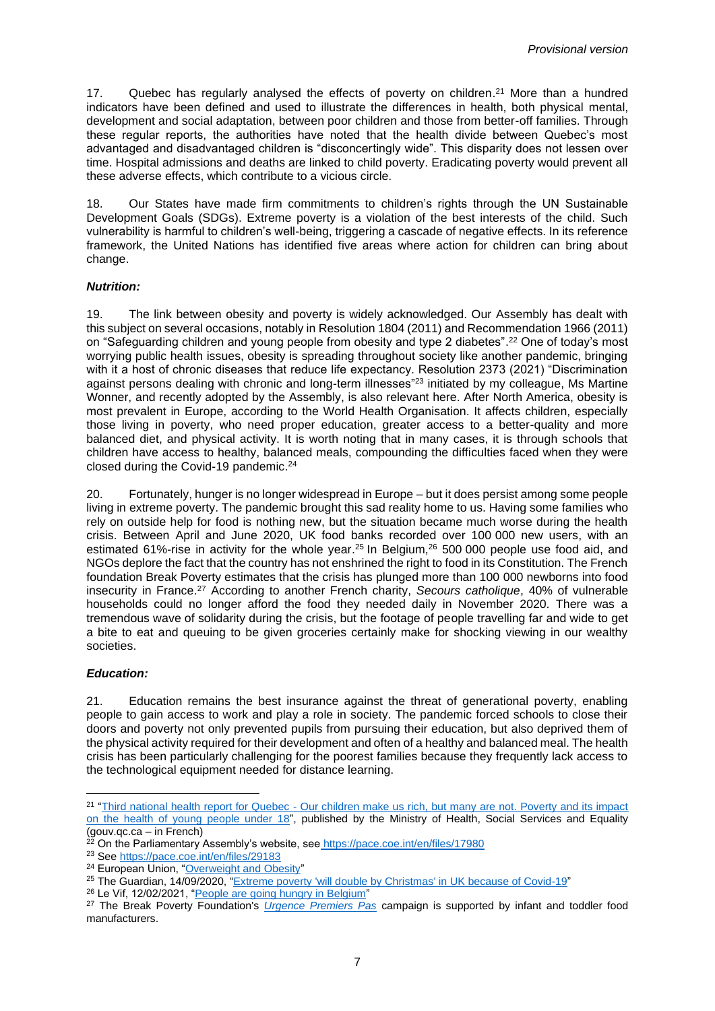17. Quebec has regularly analysed the effects of poverty on children.<sup>21</sup> More than a hundred indicators have been defined and used to illustrate the differences in health, both physical mental, development and social adaptation, between poor children and those from better-off families. Through these regular reports, the authorities have noted that the health divide between Quebec's most advantaged and disadvantaged children is "disconcertingly wide". This disparity does not lessen over time. Hospital admissions and deaths are linked to child poverty. Eradicating poverty would prevent all these adverse effects, which contribute to a vicious circle.

18. Our States have made firm commitments to children's rights through the UN Sustainable Development Goals (SDGs). Extreme poverty is a violation of the best interests of the child. Such vulnerability is harmful to children's well-being, triggering a cascade of negative effects. In its reference framework, the United Nations has identified five areas where action for children can bring about change.

#### *Nutrition:*

19. The link between obesity and poverty is widely acknowledged. Our Assembly has dealt with this subject on several occasions, notably in Resolution 1804 (2011) and Recommendation 1966 (2011) on "Safeguarding children and young people from obesity and type 2 diabetes". <sup>22</sup> One of today's most worrying public health issues, obesity is spreading throughout society like another pandemic, bringing with it a host of chronic diseases that reduce life expectancy. Resolution 2373 (2021) "Discrimination against persons dealing with chronic and long-term illnesses"<sup>23</sup> initiated by my colleague, Ms Martine Wonner, and recently adopted by the Assembly, is also relevant here. After North America, obesity is most prevalent in Europe, according to the World Health Organisation. It affects children, especially those living in poverty, who need proper education, greater access to a better-quality and more balanced diet, and physical activity. It is worth noting that in many cases, it is through schools that children have access to healthy, balanced meals, compounding the difficulties faced when they were closed during the Covid-19 pandemic. 24

20. Fortunately, hunger is no longer widespread in Europe – but it does persist among some people living in extreme poverty. The pandemic brought this sad reality home to us. Having some families who rely on outside help for food is nothing new, but the situation became much worse during the health crisis. Between April and June 2020, UK food banks recorded over 100 000 new users, with an estimated 61%-rise in activity for the whole year. <sup>25</sup> In Belgium, <sup>26</sup> 500 000 people use food aid, and NGOs deplore the fact that the country has not enshrined the right to food in its Constitution. The French foundation Break Poverty estimates that the crisis has plunged more than 100 000 newborns into food insecurity in France. <sup>27</sup> According to another French charity, *Secours catholique*, 40% of vulnerable households could no longer afford the food they needed daily in November 2020. There was a tremendous wave of solidarity during the crisis, but the footage of people travelling far and wide to get a bite to eat and queuing to be given groceries certainly make for shocking viewing in our wealthy societies.

#### *Education:*

21. Education remains the best insurance against the threat of generational poverty, enabling people to gain access to work and play a role in society. The pandemic forced schools to close their doors and poverty not only prevented pupils from pursuing their education, but also deprived them of the physical activity required for their development and often of a healthy and balanced meal. The health crisis has been particularly challenging for the poorest families because they frequently lack access to the technological equipment needed for distance learning.

<sup>&</sup>lt;sup>21</sup> "Third national health report for Quebec - Our children make us rich, but many are not. Poverty and its impact [on the health of young people under 18"](https://publications.msss.gouv.qc.ca/msss/document-000811/?&txt=pauvret%C3%A9&msss_valpub&date=DESC), published by the Ministry of Health, Social Services and Equality (gouv.qc.ca – in French)

<sup>&</sup>lt;sup>22</sup> On the Parliamentary Assembly's website, see <https://pace.coe.int/en/files/17980>

<sup>&</sup>lt;sup>23</sup> Se[e https://pace.coe.int/en/files/29183](https://pace.coe.int/en/files/29183)

<sup>&</sup>lt;sup>24</sup> European Union, ["Overweight and Obesity"](https://ec.europa.eu/eurostat/statistics-explained/index.php?title=Overweight_and_obesity_-_BMI_statistics#Obesity_by_age_group)

<sup>&</sup>lt;sup>25</sup> The Guardian, 14/09/2020, ["Extreme poverty 'will double by Christmas' in UK because of Covid-19"](https://www.theguardian.com/society/2020/sep/14/coronavirus-extreme-poverty-in-uk-will-double-by-christmas-trust-predicts)

<sup>26</sup> Le Vif, 12/02/2021, ["People are going hungry in Belgium"](https://www.levif.be/actualite/belgique/en-belgique-on-crie-famine/article-normal-1391231.html?cookie_check=1622110402)

<sup>27</sup> The Break Poverty Foundation's *[Urgence Premiers Pas](https://breakpoverty.com/operation-produits-essentiels-bebes/)* campaign is supported by infant and toddler food manufacturers.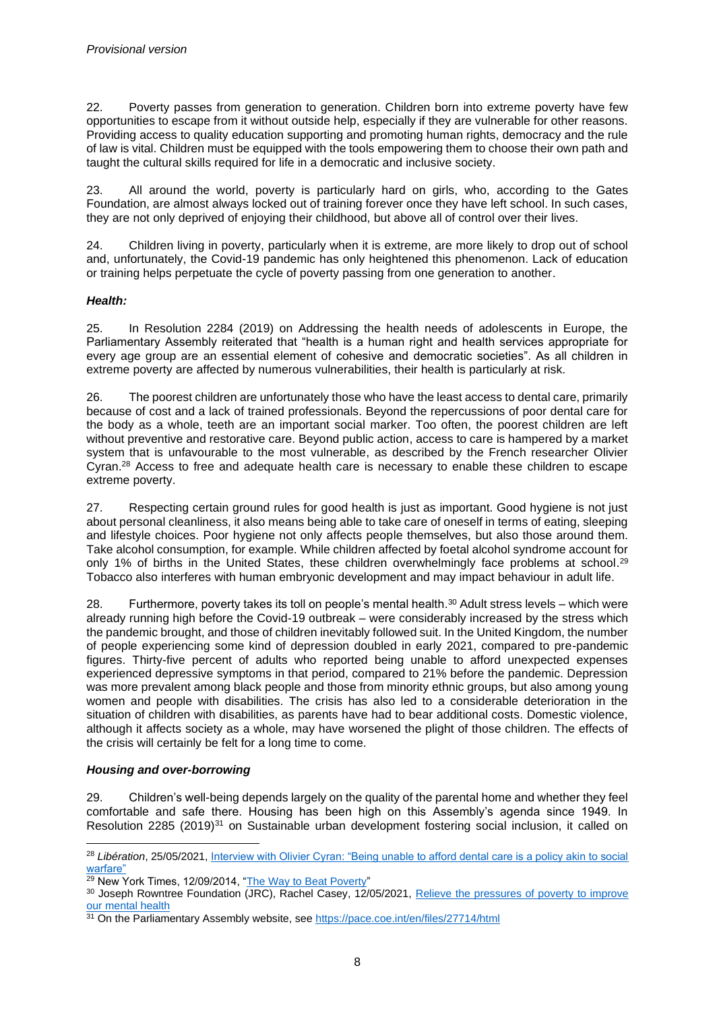22. Poverty passes from generation to generation. Children born into extreme poverty have few opportunities to escape from it without outside help, especially if they are vulnerable for other reasons. Providing access to quality education supporting and promoting human rights, democracy and the rule of law is vital. Children must be equipped with the tools empowering them to choose their own path and taught the cultural skills required for life in a democratic and inclusive society.

23. All around the world, poverty is particularly hard on girls, who, according to the Gates Foundation, are almost always locked out of training forever once they have left school. In such cases, they are not only deprived of enjoying their childhood, but above all of control over their lives.

24. Children living in poverty, particularly when it is extreme, are more likely to drop out of school and, unfortunately, the Covid-19 pandemic has only heightened this phenomenon. Lack of education or training helps perpetuate the cycle of poverty passing from one generation to another.

#### *Health:*

25. In Resolution 2284 (2019) on Addressing the health needs of adolescents in Europe, the Parliamentary Assembly reiterated that "health is a human right and health services appropriate for every age group are an essential element of cohesive and democratic societies". As all children in extreme poverty are affected by numerous vulnerabilities, their health is particularly at risk.

26. The poorest children are unfortunately those who have the least access to dental care, primarily because of cost and a lack of trained professionals. Beyond the repercussions of poor dental care for the body as a whole, teeth are an important social marker. Too often, the poorest children are left without preventive and restorative care. Beyond public action, access to care is hampered by a market system that is unfavourable to the most vulnerable, as described by the French researcher Olivier Cyran. <sup>28</sup> Access to free and adequate health care is necessary to enable these children to escape extreme poverty.

27. Respecting certain ground rules for good health is just as important. Good hygiene is not just about personal cleanliness, it also means being able to take care of oneself in terms of eating, sleeping and lifestyle choices. Poor hygiene not only affects people themselves, but also those around them. Take alcohol consumption, for example. While children affected by foetal alcohol syndrome account for only 1% of births in the United States, these children overwhelmingly face problems at school.<sup>29</sup> Tobacco also interferes with human embryonic development and may impact behaviour in adult life.

28. Furthermore, poverty takes its toll on people's mental health. <sup>30</sup> Adult stress levels – which were already running high before the Covid-19 outbreak – were considerably increased by the stress which the pandemic brought, and those of children inevitably followed suit. In the United Kingdom, the number of people experiencing some kind of depression doubled in early 2021, compared to pre-pandemic figures. Thirty-five percent of adults who reported being unable to afford unexpected expenses experienced depressive symptoms in that period, compared to 21% before the pandemic. Depression was more prevalent among black people and those from minority ethnic groups, but also among young women and people with disabilities. The crisis has also led to a considerable deterioration in the situation of children with disabilities, as parents have had to bear additional costs. Domestic violence, although it affects society as a whole, may have worsened the plight of those children. The effects of the crisis will certainly be felt for a long time to come.

#### *Housing and over-borrowing*

29. Children's well-being depends largely on the quality of the parental home and whether they feel comfortable and safe there. Housing has been high on this Assembly's agenda since 1949. In Resolution 2285 (2019)<sup>31</sup> on Sustainable urban development fostering social inclusion, it called on

<sup>28</sup> *Libération*, 25/05/2021[, Interview with Olivier Cyran: "Being unable to afford dental care is a policy akin to social](https://www.liberation.fr/idees-et-debats/olivier-cyran-ne-pas-avoir-les-moyens-de-se-soigner-les-dents-est-une-politique-de-guerre-sociale-20210525_KGG64PS3QZH27OMJ3H65AT6I3I/?redirected=1)  [warfare"](https://www.liberation.fr/idees-et-debats/olivier-cyran-ne-pas-avoir-les-moyens-de-se-soigner-les-dents-est-une-politique-de-guerre-sociale-20210525_KGG64PS3QZH27OMJ3H65AT6I3I/?redirected=1)

<sup>&</sup>lt;sup>29</sup> New York Times, 12/09/2014, ["The Way to Beat Poverty"](https://www.nytimes.com/2014/09/14/opinion/sunday/nicholas-kristof-the-way-to-beat-poverty.html)

<sup>&</sup>lt;sup>30</sup> Joseph Rowntree Foundation (JRC), Rachel Casey, 12/05/2021, Relieve the pressures of poverty to improve [our mental health](https://www.jrf.org.uk/blog/relieve-pressures-poverty-improve-our-mental-health)

<sup>31</sup> On the Parliamentary Assembly website, se[e https://pace.coe.int/en/files/27714/html](https://pace.coe.int/en/files/27714/html)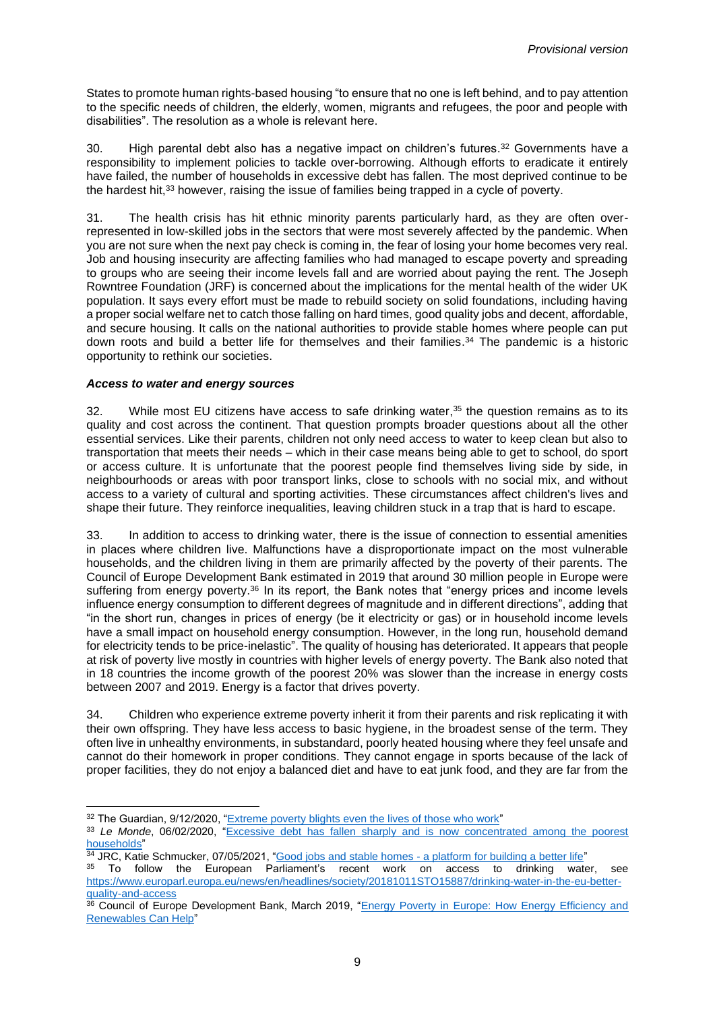States to promote human rights-based housing "to ensure that no one is left behind, and to pay attention to the specific needs of children, the elderly, women, migrants and refugees, the poor and people with disabilities". The resolution as a whole is relevant here.

30. High parental debt also has a negative impact on children's futures.<sup>32</sup> Governments have a responsibility to implement policies to tackle over-borrowing. Although efforts to eradicate it entirely have failed, the number of households in excessive debt has fallen. The most deprived continue to be the hardest hit,<sup>33</sup> however, raising the issue of families being trapped in a cycle of poverty.

31. The health crisis has hit ethnic minority parents particularly hard, as they are often overrepresented in low-skilled jobs in the sectors that were most severely affected by the pandemic. When you are not sure when the next pay check is coming in, the fear of losing your home becomes very real. Job and housing insecurity are affecting families who had managed to escape poverty and spreading to groups who are seeing their income levels fall and are worried about paying the rent. The Joseph Rowntree Foundation (JRF) is concerned about the implications for the mental health of the wider UK population. It says every effort must be made to rebuild society on solid foundations, including having a proper social welfare net to catch those falling on hard times, good quality jobs and decent, affordable, and secure housing. It calls on the national authorities to provide stable homes where people can put down roots and build a better life for themselves and their families. <sup>34</sup> The pandemic is a historic opportunity to rethink our societies.

#### *Access to water and energy sources*

32. While most EU citizens have access to safe drinking water, $35$  the question remains as to its quality and cost across the continent. That question prompts broader questions about all the other essential services. Like their parents, children not only need access to water to keep clean but also to transportation that meets their needs – which in their case means being able to get to school, do sport or access culture. It is unfortunate that the poorest people find themselves living side by side, in neighbourhoods or areas with poor transport links, close to schools with no social mix, and without access to a variety of cultural and sporting activities. These circumstances affect children's lives and shape their future. They reinforce inequalities, leaving children stuck in a trap that is hard to escape.

33. In addition to access to drinking water, there is the issue of connection to essential amenities in places where children live. Malfunctions have a disproportionate impact on the most vulnerable households, and the children living in them are primarily affected by the poverty of their parents. The Council of Europe Development Bank estimated in 2019 that around 30 million people in Europe were suffering from energy poverty.<sup>36</sup> In its report, the Bank notes that "energy prices and income levels influence energy consumption to different degrees of magnitude and in different directions", adding that "in the short run, changes in prices of energy (be it electricity or gas) or in household income levels have a small impact on household energy consumption. However, in the long run, household demand for electricity tends to be price-inelastic". The quality of housing has deteriorated. It appears that people at risk of poverty live mostly in countries with higher levels of energy poverty. The Bank also noted that in 18 countries the income growth of the poorest 20% was slower than the increase in energy costs between 2007 and 2019. Energy is a factor that drives poverty.

34. Children who experience extreme poverty inherit it from their parents and risk replicating it with their own offspring. They have less access to basic hygiene, in the broadest sense of the term. They often live in unhealthy environments, in substandard, poorly heated housing where they feel unsafe and cannot do their homework in proper conditions. They cannot engage in sports because of the lack of proper facilities, they do not enjoy a balanced diet and have to eat junk food, and they are far from the

<sup>&</sup>lt;sup>32</sup> The Guardian, 9/12/2020, ["Extreme poverty blights even the lives of those who work"](https://www.theguardian.com/society/2020/dec/09/extreme-poverty-blights-even-the-lives-of-those-who-work)

<sup>&</sup>lt;sup>33</sup> Le Monde, 06/02/2020, "Excessive debt has fallen sharply and is now concentrated among the poorest [households"](https://www.lemonde.fr/economie/article/2020/02/06/en-fort-recul-le-surendettement-se-concentre-desormais-sur-les-menages-les-plus-pauvres_6028662_3234.html)

 $34$  JRC, Katie Schmucker, 07/05/2021, "Good jobs and stable homes - [a platform for building a better life"](https://www.jrf.org.uk/blog/good-jobs-and-stable-homes-platform-building-better-life)

<sup>35</sup> To follow the European Parliament's recent work on access to drinking water, see [https://www.europarl.europa.eu/news/en/headlines/society/20181011STO15887/drinking-water-in-the-eu-better](https://www.europarl.europa.eu/news/en/headlines/society/20181011STO15887/drinking-water-in-the-eu-better-quality-and-access)[quality-and-access](https://www.europarl.europa.eu/news/en/headlines/society/20181011STO15887/drinking-water-in-the-eu-better-quality-and-access)

<sup>36</sup> Council of Europe Development Bank, March 2019, "Energy Poverty in Europe: How Energy Efficiency and [Renewables Can Help"](https://coebank.org/media/documents/CEB_Study_Energy_Poverty_in_Europe.pdf)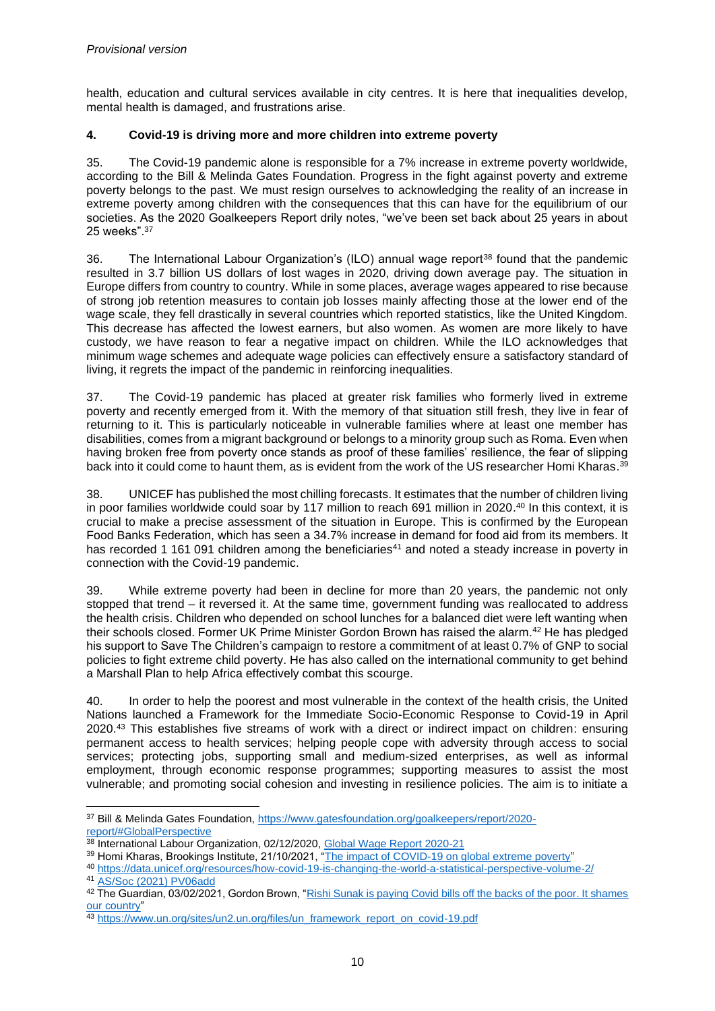health, education and cultural services available in city centres. It is here that inequalities develop, mental health is damaged, and frustrations arise.

#### **4. Covid-19 is driving more and more children into extreme poverty**

35. The Covid-19 pandemic alone is responsible for a 7% increase in extreme poverty worldwide, according to the Bill & Melinda Gates Foundation. Progress in the fight against poverty and extreme poverty belongs to the past. We must resign ourselves to acknowledging the reality of an increase in extreme poverty among children with the consequences that this can have for the equilibrium of our societies. As the 2020 Goalkeepers Report drily notes, "we've been set back about 25 years in about 25 weeks". 37

36. The International Labour Organization's (ILO) annual wage report<sup>38</sup> found that the pandemic resulted in 3.7 billion US dollars of lost wages in 2020, driving down average pay. The situation in Europe differs from country to country. While in some places, average wages appeared to rise because of strong job retention measures to contain job losses mainly affecting those at the lower end of the wage scale, they fell drastically in several countries which reported statistics, like the United Kingdom. This decrease has affected the lowest earners, but also women. As women are more likely to have custody, we have reason to fear a negative impact on children. While the ILO acknowledges that minimum wage schemes and adequate wage policies can effectively ensure a satisfactory standard of living, it regrets the impact of the pandemic in reinforcing inequalities.

37. The Covid-19 pandemic has placed at greater risk families who formerly lived in extreme poverty and recently emerged from it. With the memory of that situation still fresh, they live in fear of returning to it. This is particularly noticeable in vulnerable families where at least one member has disabilities, comes from a migrant background or belongs to a minority group such as Roma. Even when having broken free from poverty once stands as proof of these families' resilience, the fear of slipping back into it could come to haunt them, as is evident from the work of the US researcher Homi Kharas.<sup>39</sup>

38. UNICEF has published the most chilling forecasts. It estimates that the number of children living in poor families worldwide could soar by 117 million to reach 691 million in 2020. <sup>40</sup> In this context, it is crucial to make a precise assessment of the situation in Europe. This is confirmed by the European Food Banks Federation, which has seen a 34.7% increase in demand for food aid from its members. It has recorded 1 161 091 children among the beneficiaries<sup>41</sup> and noted a steady increase in poverty in connection with the Covid-19 pandemic.

39. While extreme poverty had been in decline for more than 20 years, the pandemic not only stopped that trend – it reversed it. At the same time, government funding was reallocated to address the health crisis. Children who depended on school lunches for a balanced diet were left wanting when their schools closed. Former UK Prime Minister Gordon Brown has raised the alarm.<sup>42</sup> He has pledged his support to Save The Children's campaign to restore a commitment of at least 0.7% of GNP to social policies to fight extreme child poverty. He has also called on the international community to get behind a Marshall Plan to help Africa effectively combat this scourge.

40. In order to help the poorest and most vulnerable in the context of the health crisis, the United Nations launched a Framework for the Immediate Socio-Economic Response to Covid-19 in April 2020. <sup>43</sup> This establishes five streams of work with a direct or indirect impact on children: ensuring permanent access to health services; helping people cope with adversity through access to social services; protecting jobs, supporting small and medium-sized enterprises, as well as informal employment, through economic response programmes; supporting measures to assist the most vulnerable; and promoting social cohesion and investing in resilience policies. The aim is to initiate a

<sup>37</sup> Bill & Melinda Gates Foundation[, https://www.gatesfoundation.org/goalkeepers/report/2020](https://www.gatesfoundation.org/goalkeepers/report/2020-report/#GlobalPerspective) [report/#GlobalPerspective](https://www.gatesfoundation.org/goalkeepers/report/2020-report/#GlobalPerspective)

<sup>&</sup>lt;sup>38</sup> International Labour Organization, 02/12/2020, [Global Wage Report 2020-21](https://www.ilo.org/global/research/global-reports/global-wage-report/2020/lang--en/index.htm)

 $^{39}$  Homi Kharas, Brookings Institute, 21/10/2021, "<u>The impact of COVID-19 on global extreme poverty</u>"

<sup>40</sup> <https://data.unicef.org/resources/how-covid-19-is-changing-the-world-a-statistical-perspective-volume-2/> <sup>41</sup> [AS/Soc \(2021\) PV06add](https://assembly.coe.int/LifeRay/SOC/Pdf/DocsAndDecs/2021/AS-SOC-2021-PV-06-ADD-EN.pdf)

<sup>&</sup>lt;sup>42</sup> The Guardian, 03/02/2021, Gordon Brown, "Rishi Sunak is paying Covid bills off the backs of the poor. It shames [our country"](https://www.theguardian.com/global-development/commentisfree/2021/feb/03/rishi-sunak-is-paying-covid-bills-off-the-backs-of-the-poor-it-shames-our-country)

<sup>43</sup> [https://www.un.org/sites/un2.un.org/files/un\\_framework\\_report\\_on\\_covid-19.pdf](https://www.un.org/sites/un2.un.org/files/un_framework_report_on_covid-19.pdf)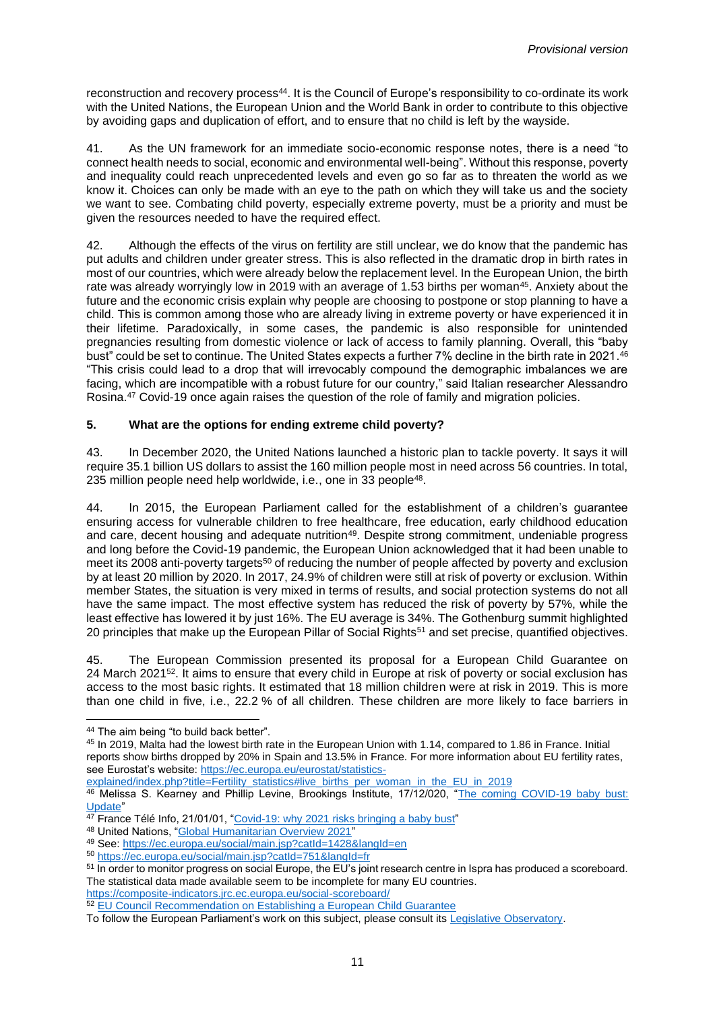reconstruction and recovery process<sup>44</sup>. It is the Council of Europe's responsibility to co-ordinate its work with the United Nations, the European Union and the World Bank in order to contribute to this objective by avoiding gaps and duplication of effort, and to ensure that no child is left by the wayside.

41. As the UN framework for an immediate socio-economic response notes, there is a need "to connect health needs to social, economic and environmental well-being". Without this response, poverty and inequality could reach unprecedented levels and even go so far as to threaten the world as we know it. Choices can only be made with an eye to the path on which they will take us and the society we want to see. Combating child poverty, especially extreme poverty, must be a priority and must be given the resources needed to have the required effect.

42. Although the effects of the virus on fertility are still unclear, we do know that the pandemic has put adults and children under greater stress. This is also reflected in the dramatic drop in birth rates in most of our countries, which were already below the replacement level. In the European Union, the birth rate was already worryingly low in 2019 with an average of 1.53 births per woman<sup>45</sup>. Anxiety about the future and the economic crisis explain why people are choosing to postpone or stop planning to have a child. This is common among those who are already living in extreme poverty or have experienced it in their lifetime. Paradoxically, in some cases, the pandemic is also responsible for unintended pregnancies resulting from domestic violence or lack of access to family planning. Overall, this "baby bust" could be set to continue. The United States expects a further 7% decline in the birth rate in 2021.<sup>46</sup> "This crisis could lead to a drop that will irrevocably compound the demographic imbalances we are facing, which are incompatible with a robust future for our country," said Italian researcher Alessandro Rosina. <sup>47</sup> Covid-19 once again raises the question of the role of family and migration policies.

#### **5. What are the options for ending extreme child poverty?**

43. In December 2020, the United Nations launched a historic plan to tackle poverty. It says it will require 35.1 billion US dollars to assist the 160 million people most in need across 56 countries. In total, 235 million people need help worldwide, i.e., one in 33 people<sup>48</sup>.

44. In 2015, the European Parliament called for the establishment of a children's guarantee ensuring access for vulnerable children to free healthcare, free education, early childhood education and care, decent housing and adequate nutrition<sup>49</sup>. Despite strong commitment, undeniable progress and long before the Covid-19 pandemic, the European Union acknowledged that it had been unable to meet its 2008 anti-poverty targets<sup>50</sup> of reducing the number of people affected by poverty and exclusion by at least 20 million by 2020. In 2017, 24.9% of children were still at risk of poverty or exclusion. Within member States, the situation is very mixed in terms of results, and social protection systems do not all have the same impact. The most effective system has reduced the risk of poverty by 57%, while the least effective has lowered it by just 16%. The EU average is 34%. The Gothenburg summit highlighted 20 principles that make up the European Pillar of Social Rights<sup>51</sup> and set precise, quantified objectives.

45. The European Commission presented its proposal for a European Child Guarantee on 24 March 2021<sup>52</sup>. It aims to ensure that every child in Europe at risk of poverty or social exclusion has access to the most basic rights. It estimated that 18 million children were at risk in 2019. This is more than one child in five, i.e., 22.2 % of all children. These children are more likely to face barriers in

[explained/index.php?title=Fertility\\_statistics#live\\_births\\_per\\_woman\\_in\\_the\\_EU\\_in\\_2019](https://ec.europa.eu/eurostat/statistics-explained/index.php?title=Fertility_statistics#live_births_per_woman_in_the_EU_in_2019)

<https://composite-indicators.jrc.ec.europa.eu/social-scoreboard/>

<sup>&</sup>lt;sup>44</sup> The aim being "to build back better".

<sup>45</sup> In 2019, Malta had the lowest birth rate in the European Union with 1.14, compared to 1.86 in France. Initial reports show births dropped by 20% in Spain and 13.5% in France. For more information about EU fertility rates, see Eurostat's website: [https://ec.europa.eu/eurostat/statistics-](https://ec.europa.eu/eurostat/statistics-explained/index.php?title=Fertility_statistics#live_births_per_woman_in_the_EU_in_2019)

<sup>46</sup> Melissa S. Kearney and Phillip Levine, Brookings Institute, 17/12/020, "The coming COVID-19 baby bust: [Update"](https://www.brookings.edu/blog/up-front/2020/12/17/the-coming-covid-19-baby-bust-update/)

<sup>&</sup>lt;sup>47</sup> France Télé Info, 21/01/01, ["Covid-19: why 2021 risks](https://www.francetvinfo.fr/sante/maladie/coronavirus/covid-19-pourquoi-l-annee-2021-risque-d-etre-celle-d-un-baby-crash_4259021.html) bringing a baby bust"

<sup>48</sup> United Nations, ["Global Humanitarian Overview 2021"](https://2021.gho.unocha.org/)

<sup>49</sup> See:<https://ec.europa.eu/social/main.jsp?catId=1428&langId=en>

<sup>50</sup> <https://ec.europa.eu/social/main.jsp?catId=751&langId=fr>

<sup>51</sup> In order to monitor progress on social Europe, the EU's joint research centre in Ispra has produced a scoreboard. The statistical data made available seem to be incomplete for many EU countries.

<sup>52</sup> [EU Council Recommendation on Establishing a European Child Guarantee](https://eur-lex.europa.eu/legal-content/EN/TXT/HTML/?uri=CELEX:52021DC0137&from=EN)

To follow the European Parliament's work on this subject, please consult it[s Legislative Observatory.](https://oeil.secure.europarl.europa.eu/oeil/popups/ficheprocedure.do?reference=COM(2021)0137&l=en)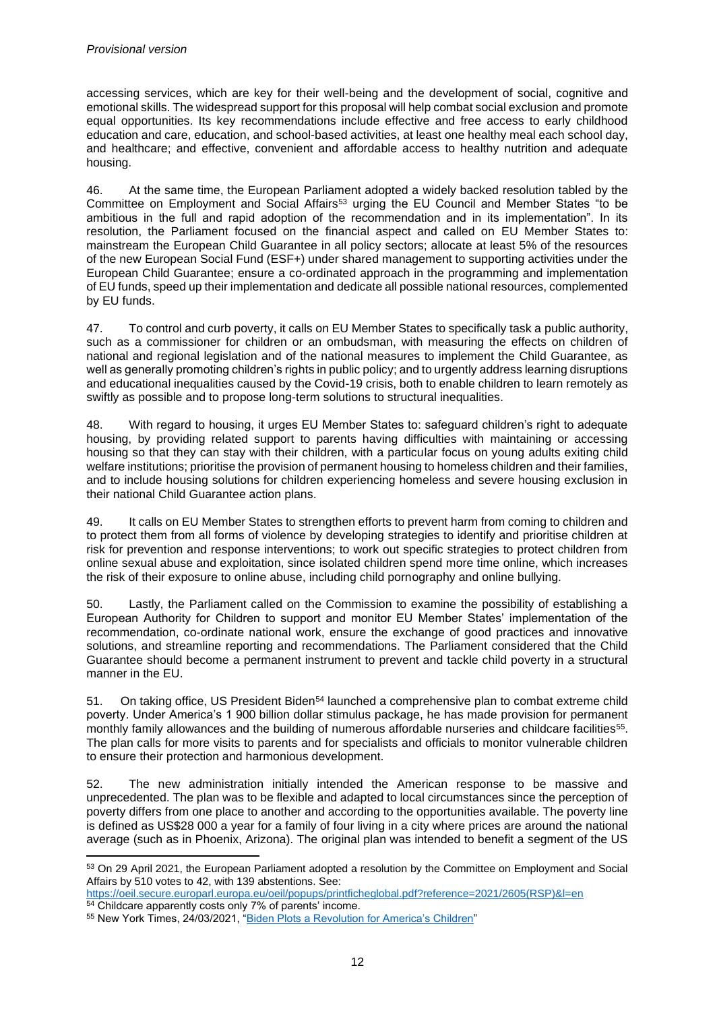accessing services, which are key for their well-being and the development of social, cognitive and emotional skills. The widespread support for this proposal will help combat social exclusion and promote equal opportunities. Its key recommendations include effective and free access to early childhood education and care, education, and school-based activities, at least one healthy meal each school day, and healthcare; and effective, convenient and affordable access to healthy nutrition and adequate housing.

46. At the same time, the European Parliament adopted a widely backed resolution tabled by the Committee on Employment and Social Affairs<sup>53</sup> urging the EU Council and Member States "to be ambitious in the full and rapid adoption of the recommendation and in its implementation". In its resolution, the Parliament focused on the financial aspect and called on EU Member States to: mainstream the European Child Guarantee in all policy sectors; allocate at least 5% of the resources of the new European Social Fund (ESF+) under shared management to supporting activities under the European Child Guarantee; ensure a co-ordinated approach in the programming and implementation of EU funds, speed up their implementation and dedicate all possible national resources, complemented by EU funds.

47. To control and curb poverty, it calls on EU Member States to specifically task a public authority, such as a commissioner for children or an ombudsman, with measuring the effects on children of national and regional legislation and of the national measures to implement the Child Guarantee, as well as generally promoting children's rights in public policy; and to urgently address learning disruptions and educational inequalities caused by the Covid-19 crisis, both to enable children to learn remotely as swiftly as possible and to propose long-term solutions to structural inequalities.

48. With regard to housing, it urges EU Member States to: safeguard children's right to adequate housing, by providing related support to parents having difficulties with maintaining or accessing housing so that they can stay with their children, with a particular focus on young adults exiting child welfare institutions; prioritise the provision of permanent housing to homeless children and their families, and to include housing solutions for children experiencing homeless and severe housing exclusion in their national Child Guarantee action plans.

49. It calls on EU Member States to strengthen efforts to prevent harm from coming to children and to protect them from all forms of violence by developing strategies to identify and prioritise children at risk for prevention and response interventions; to work out specific strategies to protect children from online sexual abuse and exploitation, since isolated children spend more time online, which increases the risk of their exposure to online abuse, including child pornography and online bullying.

50. Lastly, the Parliament called on the Commission to examine the possibility of establishing a European Authority for Children to support and monitor EU Member States' implementation of the recommendation, co-ordinate national work, ensure the exchange of good practices and innovative solutions, and streamline reporting and recommendations. The Parliament considered that the Child Guarantee should become a permanent instrument to prevent and tackle child poverty in a structural manner in the EU.

51. On taking office, US President Biden<sup>54</sup> launched a comprehensive plan to combat extreme child poverty. Under America's 1 900 billion dollar stimulus package, he has made provision for permanent monthly family allowances and the building of numerous affordable nurseries and childcare facilities<sup>55</sup>. The plan calls for more visits to parents and for specialists and officials to monitor vulnerable children to ensure their protection and harmonious development.

52. The new administration initially intended the American response to be massive and unprecedented. The plan was to be flexible and adapted to local circumstances since the perception of poverty differs from one place to another and according to the opportunities available. The poverty line is defined as US\$28 000 a year for a family of four living in a city where prices are around the national average (such as in Phoenix, Arizona). The original plan was intended to benefit a segment of the US

<sup>53</sup> On 29 April 2021, the European Parliament adopted a resolution by the Committee on Employment and Social Affairs by 510 votes to 42, with 139 abstentions. See:

[https://oeil.secure.europarl.europa.eu/oeil/popups/printficheglobal.pdf?reference=2021/2605\(RSP\)&l=en](https://oeil.secure.europarl.europa.eu/oeil/popups/printficheglobal.pdf?reference=2021/2605(RSP)&l=en) <sup>54</sup> Childcare apparently costs only 7% of parents' income.

<sup>55</sup> New York Times, 24/03/2021, ["Biden Plots a Revolution for America's Children"](https://www.nytimes.com/2021/03/24/opinion/biden-child-poverty.html)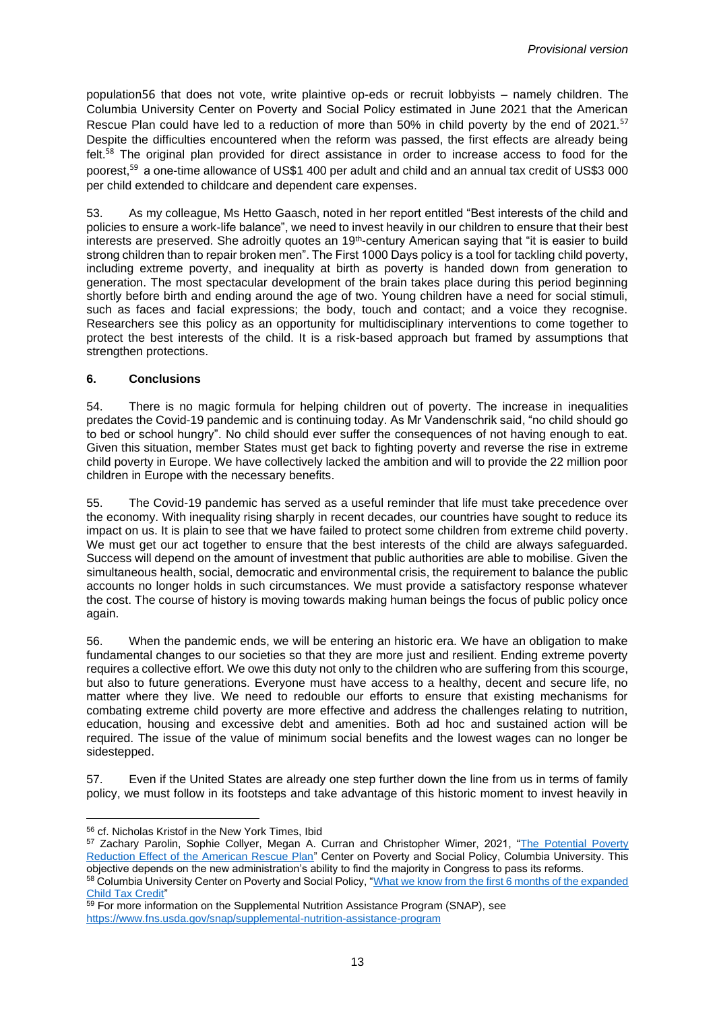population56 that does not vote, write plaintive op-eds or recruit lobbyists – namely children. The Columbia University Center on Poverty and Social Policy estimated in June 2021 that the American Rescue Plan could have led to a reduction of more than 50% in child poverty by the end of 2021.<sup>57</sup> Despite the difficulties encountered when the reform was passed, the first effects are already being felt.<sup>58</sup> The original plan provided for direct assistance in order to increase access to food for the poorest,<sup>59</sup>  a one-time allowance of US\$1 400 per adult and child and an annual tax credit of US\$3 000 per child extended to childcare and dependent care expenses.

53. As my colleague, Ms Hetto Gaasch, noted in her report entitled "Best interests of the child and policies to ensure a work-life balance", we need to invest heavily in our children to ensure that their best interests are preserved. She adroitly quotes an 19th-century American saying that "it is easier to build strong children than to repair broken men". The First 1000 Days policy is a tool for tackling child poverty, including extreme poverty, and inequality at birth as poverty is handed down from generation to generation. The most spectacular development of the brain takes place during this period beginning shortly before birth and ending around the age of two. Young children have a need for social stimuli, such as faces and facial expressions; the body, touch and contact; and a voice they recognise. Researchers see this policy as an opportunity for multidisciplinary interventions to come together to protect the best interests of the child. It is a risk-based approach but framed by assumptions that strengthen protections.

#### **6. Conclusions**

54. There is no magic formula for helping children out of poverty. The increase in inequalities predates the Covid-19 pandemic and is continuing today. As Mr Vandenschrik said, "no child should go to bed or school hungry". No child should ever suffer the consequences of not having enough to eat. Given this situation, member States must get back to fighting poverty and reverse the rise in extreme child poverty in Europe. We have collectively lacked the ambition and will to provide the 22 million poor children in Europe with the necessary benefits.

55. The Covid-19 pandemic has served as a useful reminder that life must take precedence over the economy. With inequality rising sharply in recent decades, our countries have sought to reduce its impact on us. It is plain to see that we have failed to protect some children from extreme child poverty. We must get our act together to ensure that the best interests of the child are always safeguarded. Success will depend on the amount of investment that public authorities are able to mobilise. Given the simultaneous health, social, democratic and environmental crisis, the requirement to balance the public accounts no longer holds in such circumstances. We must provide a satisfactory response whatever the cost. The course of history is moving towards making human beings the focus of public policy once again.

56. When the pandemic ends, we will be entering an historic era. We have an obligation to make fundamental changes to our societies so that they are more just and resilient. Ending extreme poverty requires a collective effort. We owe this duty not only to the children who are suffering from this scourge, but also to future generations. Everyone must have access to a healthy, decent and secure life, no matter where they live. We need to redouble our efforts to ensure that existing mechanisms for combating extreme child poverty are more effective and address the challenges relating to nutrition, education, housing and excessive debt and amenities. Both ad hoc and sustained action will be required. The issue of the value of minimum social benefits and the lowest wages can no longer be sidestepped.

57. Even if the United States are already one step further down the line from us in terms of family policy, we must follow in its footsteps and take advantage of this historic moment to invest heavily in

<sup>56</sup> cf. Nicholas Kristof in the New York Times, Ibid

<sup>&</sup>lt;sup>57</sup> Zachary Parolin, Sophie Collyer, Megan A. Curran and Christopher Wimer, 2021, "The Potential Poverty [Reduction Effect of the American Rescue Plan"](http://www.povertycenter.columbia.edu/news-internal/2021/presidential-policy/bideneconomic-relief-proposal-poverty-impact) Center on Poverty and Social Policy, Columbia University. This objective depends on the new administration's ability to find the majority in Congress to pass its reforms.

<sup>58</sup> Columbia University Center on Poverty and Social Policy, ["What we know from the first 6 months of the expanded](https://www.povertycenter.columbia.edu/news-internal/2021/child-tax-credit-research-roundup)  [Child Tax Credit"](https://www.povertycenter.columbia.edu/news-internal/2021/child-tax-credit-research-roundup)

<sup>59</sup> For more information on the Supplemental Nutrition Assistance Program (SNAP), see <https://www.fns.usda.gov/snap/supplemental-nutrition-assistance-program>